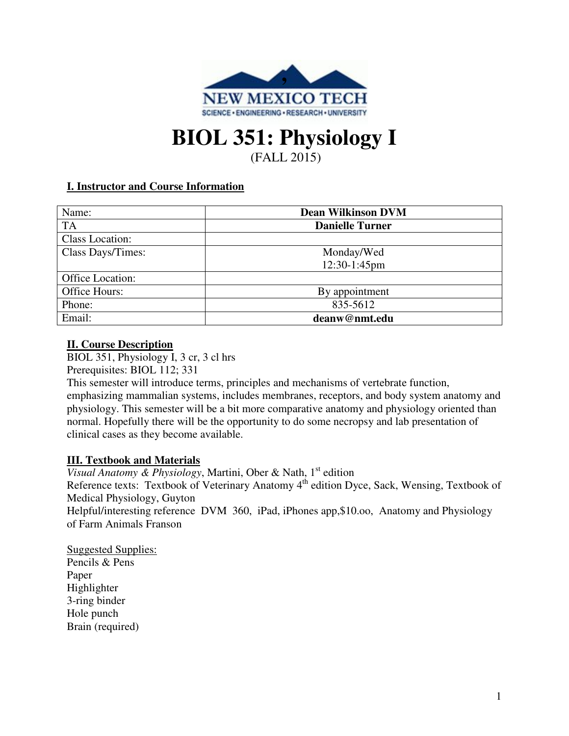

# **BIOL 351: Physiology I**  (FALL 2015)

## **I. Instructor and Course Information**

| Name:             | <b>Dean Wilkinson DVM</b><br><b>Danielle Turner</b> |  |  |  |  |
|-------------------|-----------------------------------------------------|--|--|--|--|
| <b>TA</b>         |                                                     |  |  |  |  |
| Class Location:   |                                                     |  |  |  |  |
| Class Days/Times: | Monday/Wed                                          |  |  |  |  |
|                   | 12:30-1:45pm                                        |  |  |  |  |
| Office Location:  |                                                     |  |  |  |  |
| Office Hours:     | By appointment                                      |  |  |  |  |
| Phone:            | 835-5612                                            |  |  |  |  |
| Email:            | deanw@nmt.edu                                       |  |  |  |  |

### **II. Course Description**

BIOL 351, Physiology I, 3 cr, 3 cl hrs Prerequisites: BIOL 112; 331

This semester will introduce terms, principles and mechanisms of vertebrate function, emphasizing mammalian systems, includes membranes, receptors, and body system anatomy and physiology. This semester will be a bit more comparative anatomy and physiology oriented than normal. Hopefully there will be the opportunity to do some necropsy and lab presentation of clinical cases as they become available.

## **III. Textbook and Materials**

*Visual Anatomy & Physiology*, Martini, Ober & Nath,  $1<sup>st</sup>$  edition Reference texts: Textbook of Veterinary Anatomy 4<sup>th</sup> edition Dyce, Sack, Wensing, Textbook of Medical Physiology, Guyton Helpful/interesting reference DVM 360, iPad, iPhones app,\$10.oo, Anatomy and Physiology of Farm Animals Franson

Suggested Supplies: Pencils & Pens Paper Highlighter 3-ring binder Hole punch Brain (required)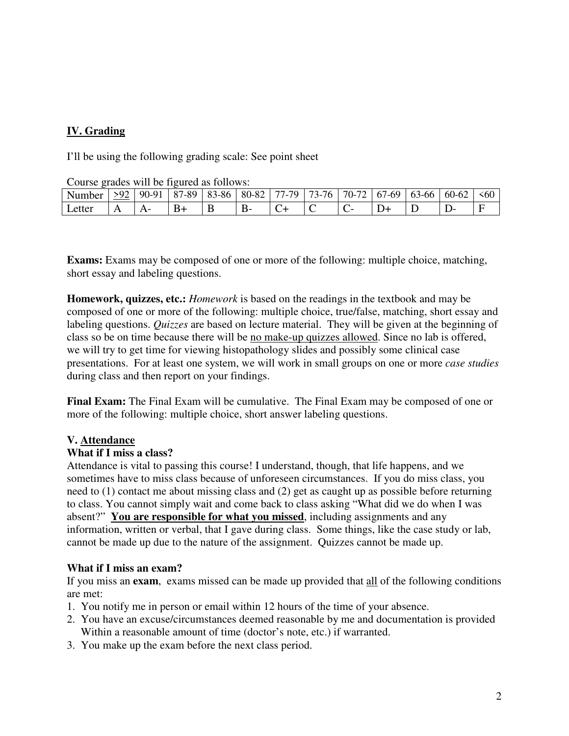## **IV. Grading**

I'll be using the following grading scale: See point sheet

Course grades will be figured as follows:

| Number | $.0^{\circ}$ | $90 - 91$ | . -89<br>.87 | Q <sub>2</sub><br>3-86 | 80-82 | .79<br>$\overline{\phantom{a}}$<br>. | $\sim$<br>$\overline{\phantom{a}}$<br>$\sqrt{2}$<br>3- | 70-72 | 60-،<br>0/ | 63-66 | $60-62$ | \$60 |
|--------|--------------|-----------|--------------|------------------------|-------|--------------------------------------|--------------------------------------------------------|-------|------------|-------|---------|------|
| Letter |              |           |              | -                      |       |                                      | ∼                                                      |       | ້          | ້     |         |      |

**Exams:** Exams may be composed of one or more of the following: multiple choice, matching, short essay and labeling questions.

**Homework, quizzes, etc.:** *Homework* is based on the readings in the textbook and may be composed of one or more of the following: multiple choice, true/false, matching, short essay and labeling questions. *Quizzes* are based on lecture material. They will be given at the beginning of class so be on time because there will be no make-up quizzes allowed. Since no lab is offered, we will try to get time for viewing histopathology slides and possibly some clinical case presentations. For at least one system, we will work in small groups on one or more *case studies* during class and then report on your findings.

**Final Exam:** The Final Exam will be cumulative. The Final Exam may be composed of one or more of the following: multiple choice, short answer labeling questions.

#### **V. Attendance**

#### **What if I miss a class?**

Attendance is vital to passing this course! I understand, though, that life happens, and we sometimes have to miss class because of unforeseen circumstances. If you do miss class, you need to (1) contact me about missing class and (2) get as caught up as possible before returning to class. You cannot simply wait and come back to class asking "What did we do when I was absent?" **You are responsible for what you missed**, including assignments and any information, written or verbal, that I gave during class. Some things, like the case study or lab, cannot be made up due to the nature of the assignment. Quizzes cannot be made up.

#### **What if I miss an exam?**

If you miss an **exam**, exams missed can be made up provided that all of the following conditions are met:

- 1. You notify me in person or email within 12 hours of the time of your absence.
- 2. You have an excuse/circumstances deemed reasonable by me and documentation is provided Within a reasonable amount of time (doctor's note, etc.) if warranted.
- 3. You make up the exam before the next class period.